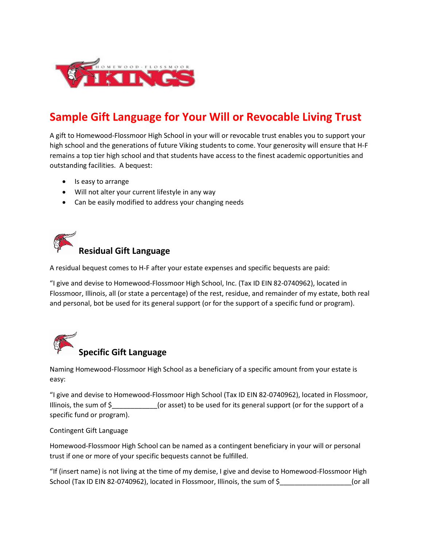

## **Sample Gift Language for Your Will or Revocable Living Trust**

A gift to Homewood-Flossmoor High School in your will or revocable trust enables you to support your high school and the generations of future Viking students to come. Your generosity will ensure that H-F remains a top tier high school and that students have access to the finest academic opportunities and outstanding facilities. A bequest:

- Is easy to arrange
- Will not alter your current lifestyle in any way
- Can be easily modified to address your changing needs



A residual bequest comes to H-F after your estate expenses and specific bequests are paid:

"I give and devise to Homewood-Flossmoor High School, Inc. (Tax ID EIN 82-0740962), located in Flossmoor, Illinois, all (or state a percentage) of the rest, residue, and remainder of my estate, both real and personal, bot be used for its general support (or for the support of a specific fund or program).



Naming Homewood-Flossmoor High School as a beneficiary of a specific amount from your estate is easy:

"I give and devise to Homewood-Flossmoor High School (Tax ID EIN 82-0740962), located in Flossmoor, Illinois, the sum of  $\zeta$  (or asset) to be used for its general support (or for the support of a specific fund or program).

Contingent Gift Language

Homewood-Flossmoor High School can be named as a contingent beneficiary in your will or personal trust if one or more of your specific bequests cannot be fulfilled.

"If (insert name) is not living at the time of my demise, I give and devise to Homewood-Flossmoor High School (Tax ID EIN 82-0740962), located in Flossmoor, Illinois, the sum of \$  $\sim$  (or all